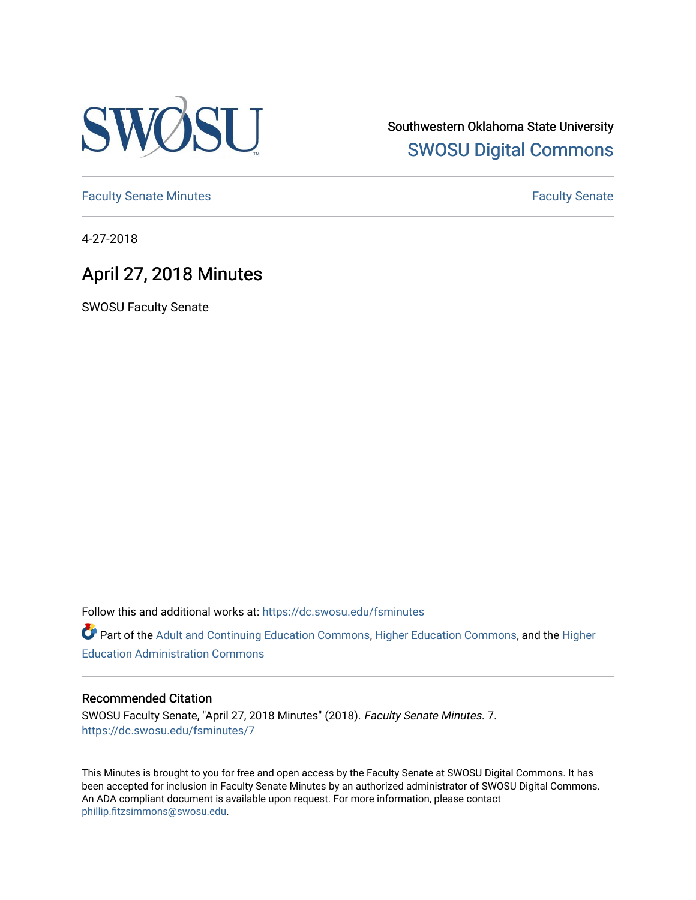

Southwestern Oklahoma State University [SWOSU Digital Commons](https://dc.swosu.edu/) 

[Faculty Senate Minutes](https://dc.swosu.edu/fsminutes) **Faculty** Senate Minutes

4-27-2018

# April 27, 2018 Minutes

SWOSU Faculty Senate

Follow this and additional works at: [https://dc.swosu.edu/fsminutes](https://dc.swosu.edu/fsminutes?utm_source=dc.swosu.edu%2Ffsminutes%2F7&utm_medium=PDF&utm_campaign=PDFCoverPages) 

Part of the [Adult and Continuing Education Commons,](http://network.bepress.com/hgg/discipline/1375?utm_source=dc.swosu.edu%2Ffsminutes%2F7&utm_medium=PDF&utm_campaign=PDFCoverPages) [Higher Education Commons,](http://network.bepress.com/hgg/discipline/1245?utm_source=dc.swosu.edu%2Ffsminutes%2F7&utm_medium=PDF&utm_campaign=PDFCoverPages) and the [Higher](http://network.bepress.com/hgg/discipline/791?utm_source=dc.swosu.edu%2Ffsminutes%2F7&utm_medium=PDF&utm_campaign=PDFCoverPages) [Education Administration Commons](http://network.bepress.com/hgg/discipline/791?utm_source=dc.swosu.edu%2Ffsminutes%2F7&utm_medium=PDF&utm_campaign=PDFCoverPages) 

#### Recommended Citation

SWOSU Faculty Senate, "April 27, 2018 Minutes" (2018). Faculty Senate Minutes. 7. [https://dc.swosu.edu/fsminutes/7](https://dc.swosu.edu/fsminutes/7?utm_source=dc.swosu.edu%2Ffsminutes%2F7&utm_medium=PDF&utm_campaign=PDFCoverPages)

This Minutes is brought to you for free and open access by the Faculty Senate at SWOSU Digital Commons. It has been accepted for inclusion in Faculty Senate Minutes by an authorized administrator of SWOSU Digital Commons. An ADA compliant document is available upon request. For more information, please contact [phillip.fitzsimmons@swosu.edu](mailto:phillip.fitzsimmons@swosu.edu).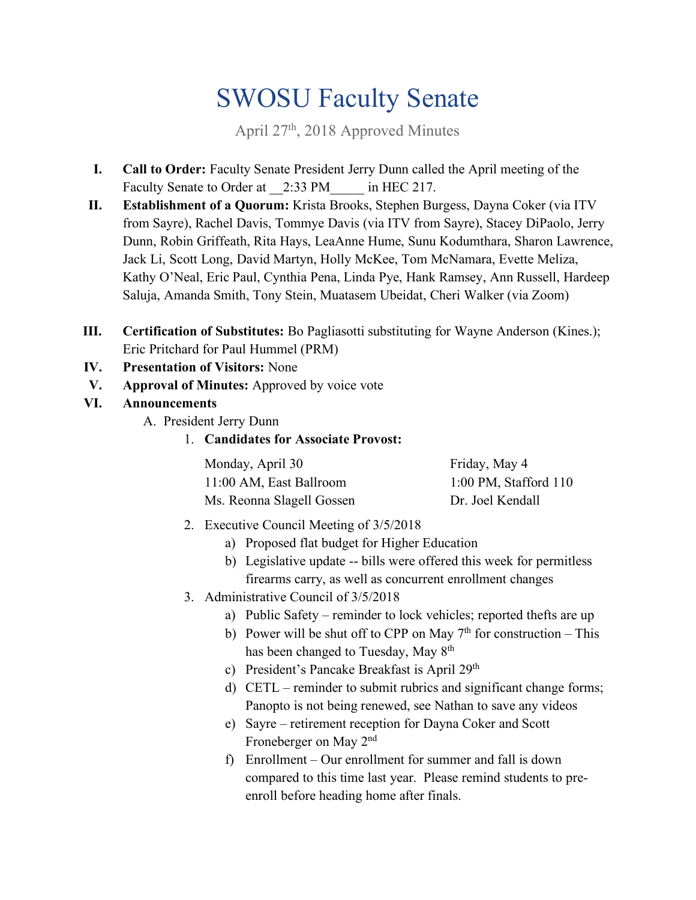# SWOSU Faculty Senate

April 27th, 2018 Approved Minutes

- **I.** Call to Order: Faculty Senate President Jerry Dunn called the April meeting of the Faculty Senate to Order at  $2:33$  PM in HEC 217.
- **II. Establishment of a Quorum:** Krista Brooks, Stephen Burgess, Dayna Coker (via ITV from Sayre), Rachel Davis, Tommye Davis (via ITV from Sayre), Stacey DiPaolo, Jerry Dunn, Robin Griffeath, Rita Hays, LeaAnne Hume, Sunu Kodumthara, Sharon Lawrence, Jack Li, Scott Long, David Martyn, Holly McKee, Tom McNamara, Evette Meliza, Kathy O'Neal, Eric Paul, Cynthia Pena, Linda Pye, Hank Ramsey, Ann Russell, Hardeep Saluja, Amanda Smith, Tony Stein, Muatasem Ubeidat, Cheri Walker (via Zoom)
- **III. Certification of Substitutes:** Bo Pagliasotti substituting for Wayne Anderson (Kines.); Eric Pritchard for Paul Hummel (PRM)
- **IV. Presentation of Visitors:** None
- **V. Approval of Minutes:** Approved by voice vote
- **VI. Announcements** 
	- A. President Jerry Dunn
		- 1. **Candidates for Associate Provost:**

| Monday, April 30          | Friday, May 4             |
|---------------------------|---------------------------|
| 11:00 AM, East Ballroom   | $1:00$ PM, Stafford $110$ |
| Ms. Reonna Slagell Gossen | Dr. Joel Kendall          |

- 2. Executive Council Meeting of 3/5/2018
	- a) Proposed flat budget for Higher Education
	- b) Legislative update -- bills were offered this week for permitless firearms carry, as well as concurrent enrollment changes
- 3. Administrative Council of 3/5/2018
	- a) Public Safety reminder to lock vehicles; reported thefts are up
	- b) Power will be shut off to CPP on May  $7<sup>th</sup>$  for construction This has been changed to Tuesday, May 8<sup>th</sup>
	- c) President's Pancake Breakfast is April 29th
	- d) CETL reminder to submit rubrics and significant change forms; Panopto is not being renewed, see Nathan to save any videos
	- e) Sayre retirement reception for Dayna Coker and Scott Froneberger on May 2nd
	- compared to this time last year. Please remind students to pref) Enrollment – Our enrollment for summer and fall is down enroll before heading home after finals.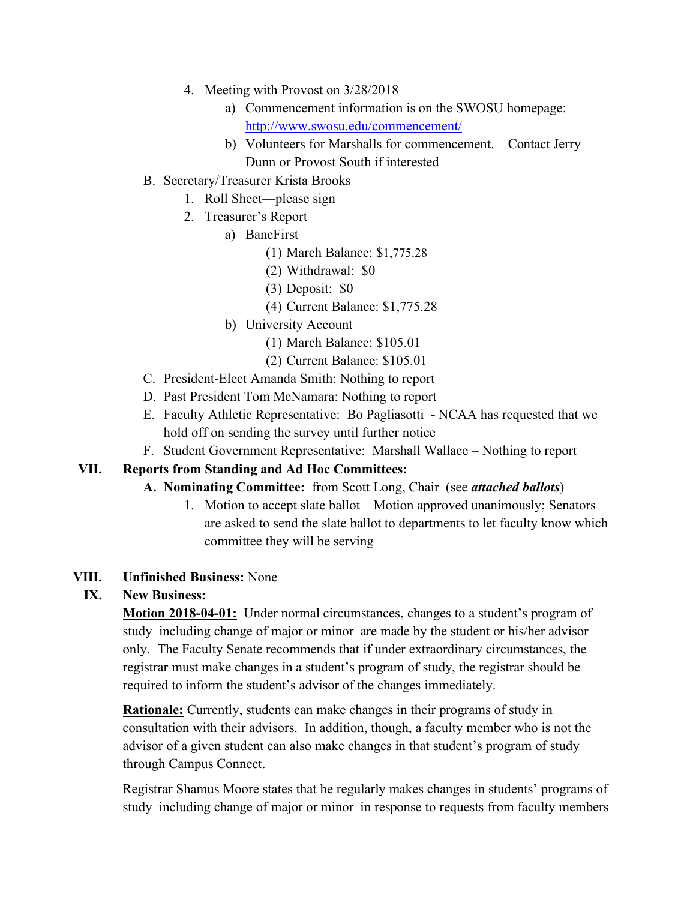- 4. Meeting with Provost on 3/28/2018
	- a) Commencement information is on the SWOSU homepage: <http://www.swosu.edu/commencement>/
	- b) Volunteers for Marshalls for commencement. Contact Jerry Dunn or Provost South if interested
- B. Secretary/Treasurer Krista Brooks
	- 1. Roll Sheet—please sign
	- 2. Treasurer's Report
		- a) BancFirst
			- (1) March Balance: [\\$1,775.28](http:1,775.28)
			- (2) Withdrawal: \$0
			- (3) Deposit: \$0
			- (4) Current Balance: \$[1,775.28](http:1,775.28)
		- b) University Account
			- (1) March Balance: \$105.01
			- (2) Current Balance: \$105.01
- C. President-Elect Amanda Smith: Nothing to report
- D. Past President Tom McNamara: Nothing to report
- E. Faculty Athletic Representative: Bo Pagliasotti NCAA has requested that we hold off on sending the survey until further notice
- F. Student Government Representative: Marshall Wallace Nothing to report

### **VII. Reports from Standing and Ad Hoc Committees:**

- **A. Nominating Committee:** from Scott Long, Chair (see *attached ballots*)
	- 1. Motion to accept slate ballot Motion approved unanimously; Senators are asked to send the slate ballot to departments to let faculty know which committee they will be serving

#### **VIII. Unfinished Business:** None

# **IX. New Business:**

**Motion 2018-04-01:** Under normal circumstances, changes to a student's program of only. The Faculty Senate recommends that if under extraordinary circumstances, the study–including change of major or minor–are made by the student or his/her advisor registrar must make changes in a student's program of study, the registrar should be required to inform the student's advisor of the changes immediately.

 consultation with their advisors. In addition, though, a faculty member who is not the through Campus Connect. **Rationale:** Currently, students can make changes in their programs of study in advisor of a given student can also make changes in that student's program of study

Registrar Shamus Moore states that he regularly makes changes in students' programs of study–including change of major or minor–in response to requests from faculty members